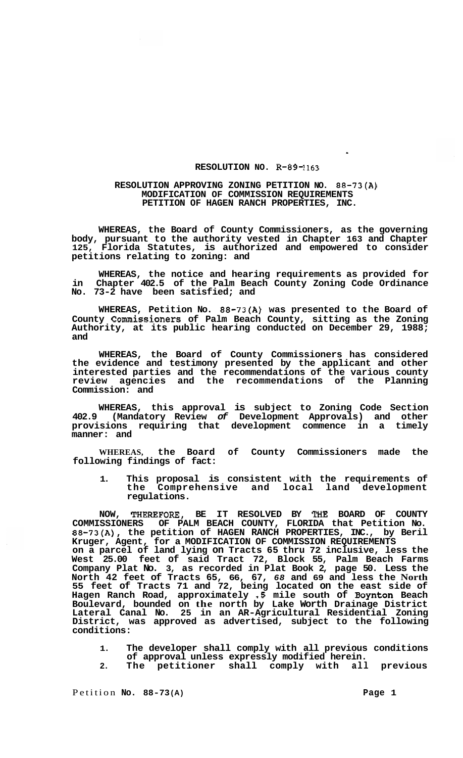## **RESOLUTION NO. R-89-1163**

## **RESOLUTION APPROVING ZONING PETITION NO. 88-73(A) MODIFICATION OF COMMISSION REQUIREMENTS PETITION OF HAGEN RANCH PROPERTIES, INC.**

**WHEREAS, the Board of County Commissioners, as the governing body, pursuant to the authority vested in Chapter 163 and Chapter 125, Florida Statutes, is authorized and empowered to consider petitions relating to zoning: and** 

**WHEREAS, the notice and hearing requirements as provided for in Chapter 402.5 of the Palm Beach County Zoning Code Ordinance No. 73-2 have been satisfied; and** 

**WHEREAS, Petition No. 88-73(A) was presented to the Board of County Commissioners of Palm Beach County, sitting as the Zoning Authority, at its public hearing conducted on December 29, 1988; and** 

**WHEREAS, the Board of County Commissioners has considered the evidence and testimony presented by the applicant and other interested parties and the recommendations of the various county review agencies and the recommendations of the Planning Commission: and** 

**WHEREAS, this approval is subject to Zoning Code Section 402.9 (Mandatory Review** *of* **Development Approvals) and other provisions requiring that development commence in a timely manner: and** 

**WHEREAS, the Board of County Commissioners made the following findings of fact:** 

**1. This proposal is consistent with the requirements of the Comprehensive and local land development regulations.** 

**NOW, THEREFORE, BE IT RESOLVED BY THE BOARD OF COUNTY COMMISSIONERS OF PALM BEACH COUNTY, FLORIDA that Petition No. 88-73(A), the petition of HAGEN RANCH PROPERTIES, INC., by Beril Kruger, Agent, for a MODIFICATION OF COMMISSION REQUIREMENTS on a parcel of land lying on Tracts 65 thru 72 inclusive, less the West 25.00 feet of said Tract 72, Block 55, Palm Beach Farms Company Plat No. 3, as recorded in Plat Book 2, page 50. Less the North 42 feet of Tracts 65, 66, 67,** *68* **and 69 and less the North 55 feet of Tracts 71 and 72, being located on the east side of Hagen Ranch Road, approximately .5 mile south of Boynton Beach Boulevard, bounded on the north by Lake Worth Drainage District Lateral Canal No. 25 in an AR-Agricultural Residential Zoning District, was approved as advertised, subject to the following conditions:** 

- **1. The developer shall comply with all previous conditions of approval unless expressly modified herein.**
- **2. The petitioner shall comply with all previous**